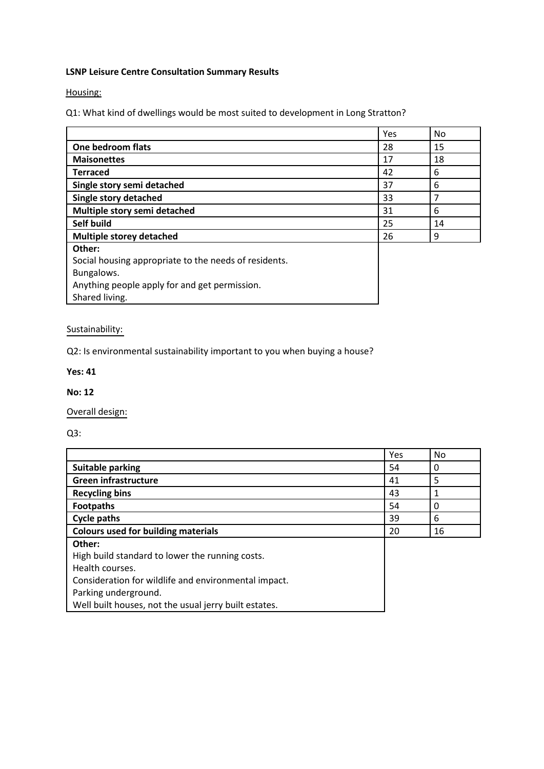### **LSNP Leisure Centre Consultation Summary Results**

Housing:

Q1: What kind of dwellings would be most suited to development in Long Stratton?

|                                                       | Yes | No |
|-------------------------------------------------------|-----|----|
| One bedroom flats                                     | 28  | 15 |
| <b>Maisonettes</b>                                    | 17  | 18 |
| <b>Terraced</b>                                       | 42  | 6  |
| Single story semi detached                            | 37  | 6  |
| Single story detached                                 | 33  |    |
| Multiple story semi detached                          | 31  | 6  |
| Self build                                            | 25  | 14 |
| <b>Multiple storey detached</b>                       | 26  | 9  |
| Other:                                                |     |    |
| Social housing appropriate to the needs of residents. |     |    |
| Bungalows.                                            |     |    |
| Anything people apply for and get permission.         |     |    |
| Shared living.                                        |     |    |

# Sustainability:

Q2: Is environmental sustainability important to you when buying a house?

#### **Yes: 41**

#### **No: 12**

Overall design:

Q3:

|                                                       | Yes | No |
|-------------------------------------------------------|-----|----|
| <b>Suitable parking</b>                               | 54  | 0  |
| <b>Green infrastructure</b>                           | 41  | 5  |
| <b>Recycling bins</b>                                 | 43  |    |
| <b>Footpaths</b>                                      | 54  | 0  |
| <b>Cycle paths</b>                                    | 39  | 6  |
| <b>Colours used for building materials</b>            | 20  | 16 |
| Other:                                                |     |    |
| High build standard to lower the running costs.       |     |    |
| Health courses.                                       |     |    |
| Consideration for wildlife and environmental impact.  |     |    |
| Parking underground.                                  |     |    |
| Well built houses, not the usual jerry built estates. |     |    |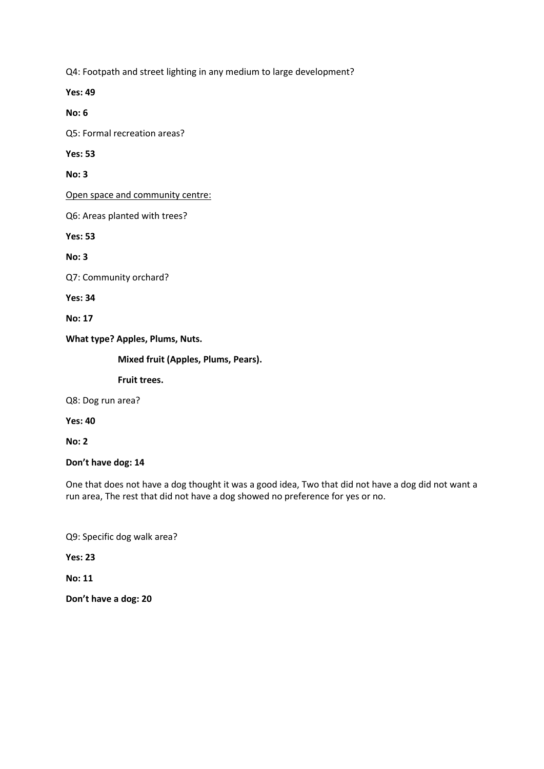Q4: Footpath and street lighting in any medium to large development?

**Yes: 49**

**No: 6**

Q5: Formal recreation areas?

**Yes: 53**

**No: 3**

Open space and community centre:

Q6: Areas planted with trees?

**Yes: 53**

**No: 3**

Q7: Community orchard?

**Yes: 34**

**No: 17**

#### **What type? Apples, Plums, Nuts.**

**Mixed fruit (Apples, Plums, Pears).**

**Fruit trees.**

Q8: Dog run area?

**Yes: 40**

**No: 2**

**Don't have dog: 14**

One that does not have a dog thought it was a good idea, Two that did not have a dog did not want a run area, The rest that did not have a dog showed no preference for yes or no.

Q9: Specific dog walk area?

**Yes: 23**

**No: 11**

**Don't have a dog: 20**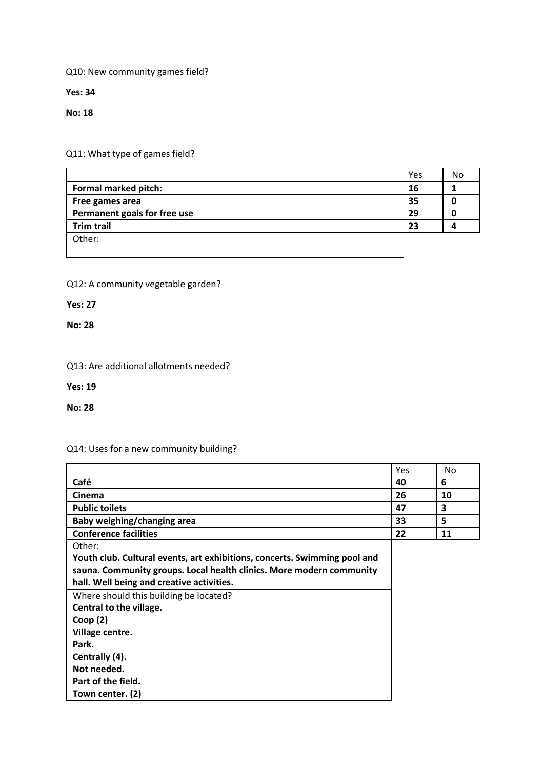Q10: New community games field?

**Yes: 34**

**No: 18**

Q11: What type of games field?

|                              | Yes | No |
|------------------------------|-----|----|
| Formal marked pitch:         | 16  |    |
| Free games area              | 35  |    |
| Permanent goals for free use | 29  |    |
| <b>Trim trail</b>            | 23  |    |
| Other:                       |     |    |
|                              |     |    |

### Q12: A community vegetable garden?

**Yes: 27**

**No: 28**

### Q13: Are additional allotments needed?

**Yes: 19**

**No: 28**

# Q14: Uses for a new community building?

|                                                                           | Yes | No. |
|---------------------------------------------------------------------------|-----|-----|
| Café                                                                      | 40  | 6   |
| <b>Cinema</b>                                                             | 26  | 10  |
| <b>Public toilets</b>                                                     | 47  | 3   |
| Baby weighing/changing area                                               | 33  | 5   |
| <b>Conference facilities</b>                                              | 22  | 11  |
| Other:                                                                    |     |     |
| Youth club. Cultural events, art exhibitions, concerts. Swimming pool and |     |     |
| sauna. Community groups. Local health clinics. More modern community      |     |     |
| hall. Well being and creative activities.                                 |     |     |
| Where should this building be located?                                    |     |     |
| Central to the village.                                                   |     |     |
| Coop(2)                                                                   |     |     |
| Village centre.                                                           |     |     |
| Park.                                                                     |     |     |
| Centrally (4).                                                            |     |     |
| Not needed.                                                               |     |     |
| Part of the field.                                                        |     |     |
| Town center. (2)                                                          |     |     |